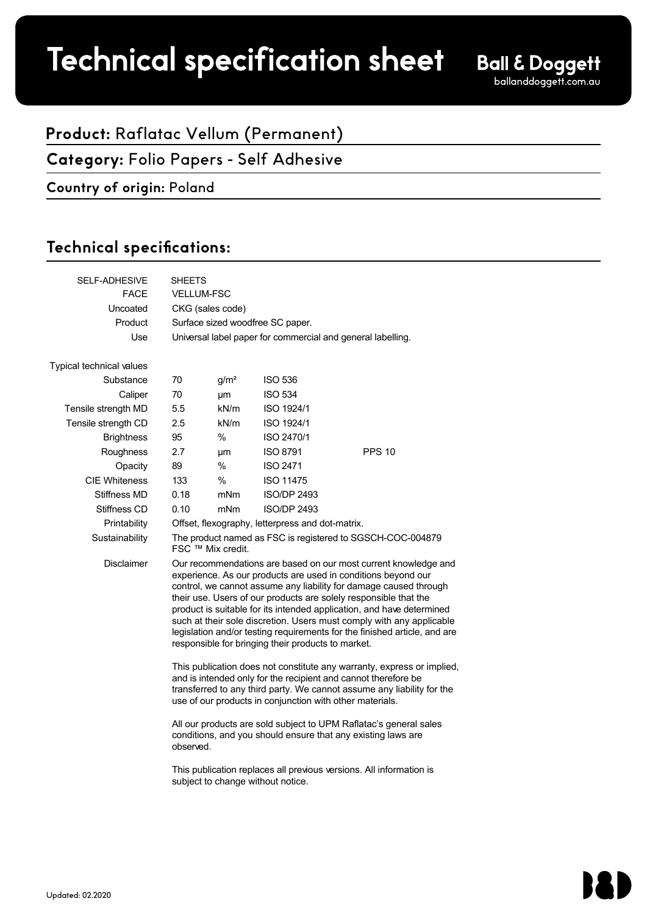# Technical specification sheet

1 (1)

1 (1)

## **Product:** Raflatac Vellum (Permanent)

**Category:** Folio Papers - Self Adhesive

#### **Country of origin:** Poland

## Technical specifications:

| <b>SELF-ADHESIVE</b>     | <b>SHEETS</b>                                                                                                                                                                                                                                                                                                                                                                                                                                                                                                                                                 |                  |                    |               |  |  |
|--------------------------|---------------------------------------------------------------------------------------------------------------------------------------------------------------------------------------------------------------------------------------------------------------------------------------------------------------------------------------------------------------------------------------------------------------------------------------------------------------------------------------------------------------------------------------------------------------|------------------|--------------------|---------------|--|--|
| <b>FACE</b>              | <b>VELLUM-FSC</b>                                                                                                                                                                                                                                                                                                                                                                                                                                                                                                                                             |                  |                    |               |  |  |
| Uncoated                 | CKG (sales code)                                                                                                                                                                                                                                                                                                                                                                                                                                                                                                                                              |                  |                    |               |  |  |
| Product                  | Surface sized woodfree SC paper.                                                                                                                                                                                                                                                                                                                                                                                                                                                                                                                              |                  |                    |               |  |  |
| Use                      | Universal label paper for commercial and general labelling.                                                                                                                                                                                                                                                                                                                                                                                                                                                                                                   |                  |                    |               |  |  |
| Typical technical values |                                                                                                                                                                                                                                                                                                                                                                                                                                                                                                                                                               |                  |                    |               |  |  |
| Substance                | 70                                                                                                                                                                                                                                                                                                                                                                                                                                                                                                                                                            | g/m <sup>2</sup> | <b>ISO 536</b>     |               |  |  |
| Caliper                  | 70                                                                                                                                                                                                                                                                                                                                                                                                                                                                                                                                                            | μm               | <b>ISO 534</b>     |               |  |  |
| Tensile strength MD      | 5.5                                                                                                                                                                                                                                                                                                                                                                                                                                                                                                                                                           | kN/m             | ISO 1924/1         |               |  |  |
| Tensile strength CD      | 2.5                                                                                                                                                                                                                                                                                                                                                                                                                                                                                                                                                           | kN/m             | ISO 1924/1         |               |  |  |
| <b>Brightness</b>        | 95                                                                                                                                                                                                                                                                                                                                                                                                                                                                                                                                                            | %                | ISO 2470/1         |               |  |  |
| Roughness                | 2.7                                                                                                                                                                                                                                                                                                                                                                                                                                                                                                                                                           | μm               | <b>ISO 8791</b>    | <b>PPS 10</b> |  |  |
| Opacity                  | 89                                                                                                                                                                                                                                                                                                                                                                                                                                                                                                                                                            | $\%$             | <b>ISO 2471</b>    |               |  |  |
| <b>CIE Whiteness</b>     | 133                                                                                                                                                                                                                                                                                                                                                                                                                                                                                                                                                           | $\%$             | <b>ISO 11475</b>   |               |  |  |
| Stiffness MD             | 0.18                                                                                                                                                                                                                                                                                                                                                                                                                                                                                                                                                          | mNm              | <b>ISO/DP 2493</b> |               |  |  |
| Stiffness CD             | 0.10                                                                                                                                                                                                                                                                                                                                                                                                                                                                                                                                                          | mNm              | <b>ISO/DP 2493</b> |               |  |  |
| Printability             | Offset, flexography, letterpress and dot-matrix.                                                                                                                                                                                                                                                                                                                                                                                                                                                                                                              |                  |                    |               |  |  |
| Sustainability           | The product named as FSC is registered to SGSCH-COC-004879<br>FSC ™ Mix credit.                                                                                                                                                                                                                                                                                                                                                                                                                                                                               |                  |                    |               |  |  |
| <b>Disclaimer</b>        | Our recommendations are based on our most current knowledge and<br>experience. As our products are used in conditions beyond our<br>control, we cannot assume any liability for damage caused through<br>their use. Users of our products are solely responsible that the<br>product is suitable for its intended application, and have determined<br>such at their sole discretion. Users must comply with any applicable<br>legislation and/or testing requirements for the finished article, and are<br>responsible for bringing their products to market. |                  |                    |               |  |  |
|                          | This publication does not constitute any warranty, express or implied,<br>and is intended only for the recipient and cannot therefore be<br>transferred to any third party. We cannot assume any liability for the<br>use of our products in conjunction with other materials.<br>All our products are sold subject to UPM Raflatac's general sales<br>conditions, and you should ensure that any existing laws are<br>observed.<br>This publication replaces all previous versions. All information is<br>subject to change without notice.                  |                  |                    |               |  |  |
|                          |                                                                                                                                                                                                                                                                                                                                                                                                                                                                                                                                                               |                  |                    |               |  |  |
|                          |                                                                                                                                                                                                                                                                                                                                                                                                                                                                                                                                                               |                  |                    |               |  |  |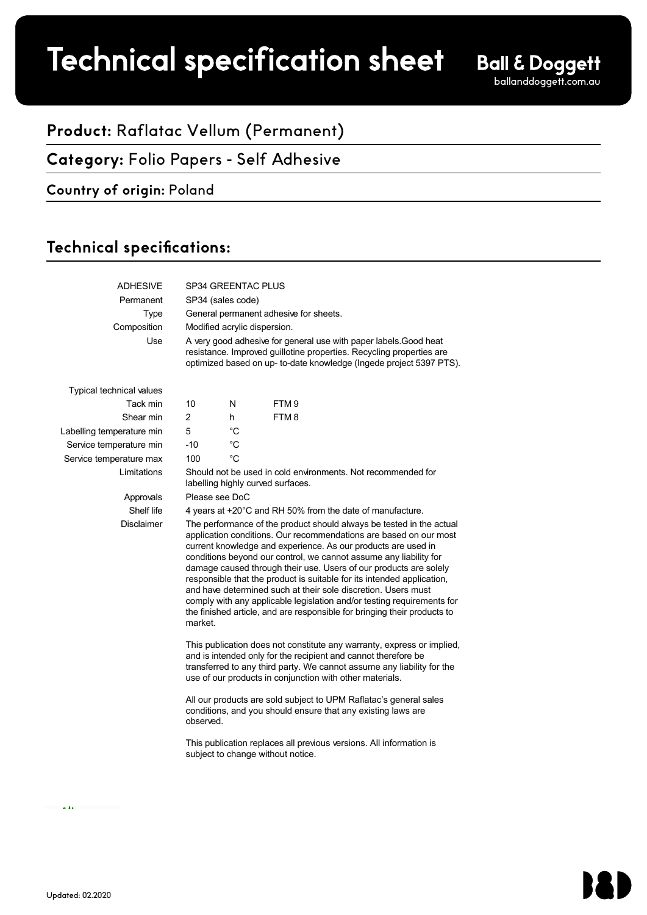# Technical specification sheet

## **Product:** Raflatac Vellum (Permanent)

### **Category:** Folio Papers - Self Adhesive

### **Country of origin:** Poland

## Technical specifications:

| <b>ADHESIVE</b>                 | SP34 GREENTAC PLUS                                                                                                                                                                                                                                                                                                                                                                                                                                                                                                                                                                                                                                               |             |                  |  |  |  |
|---------------------------------|------------------------------------------------------------------------------------------------------------------------------------------------------------------------------------------------------------------------------------------------------------------------------------------------------------------------------------------------------------------------------------------------------------------------------------------------------------------------------------------------------------------------------------------------------------------------------------------------------------------------------------------------------------------|-------------|------------------|--|--|--|
| Permanent                       | SP34 (sales code)                                                                                                                                                                                                                                                                                                                                                                                                                                                                                                                                                                                                                                                |             |                  |  |  |  |
| <b>Type</b>                     | General permanent adhesive for sheets.                                                                                                                                                                                                                                                                                                                                                                                                                                                                                                                                                                                                                           |             |                  |  |  |  |
| Composition                     | Modified acrylic dispersion.                                                                                                                                                                                                                                                                                                                                                                                                                                                                                                                                                                                                                                     |             |                  |  |  |  |
| Use                             | A very good adhesive for general use with paper labels. Good heat<br>resistance. Improved guillotine properties. Recycling properties are<br>optimized based on up- to-date knowledge (Ingede project 5397 PTS).                                                                                                                                                                                                                                                                                                                                                                                                                                                 |             |                  |  |  |  |
| <b>Typical technical values</b> |                                                                                                                                                                                                                                                                                                                                                                                                                                                                                                                                                                                                                                                                  |             |                  |  |  |  |
| Tack min                        | 10                                                                                                                                                                                                                                                                                                                                                                                                                                                                                                                                                                                                                                                               | N           | FTM <sub>9</sub> |  |  |  |
| Shear min                       | $\overline{c}$                                                                                                                                                                                                                                                                                                                                                                                                                                                                                                                                                                                                                                                   | h           | FTM8             |  |  |  |
| Labelling temperature min       | 5                                                                                                                                                                                                                                                                                                                                                                                                                                                                                                                                                                                                                                                                | $^{\circ}C$ |                  |  |  |  |
| Service temperature min         | $-10$                                                                                                                                                                                                                                                                                                                                                                                                                                                                                                                                                                                                                                                            | $^{\circ}C$ |                  |  |  |  |
| Service temperature max         | 100                                                                                                                                                                                                                                                                                                                                                                                                                                                                                                                                                                                                                                                              | °C          |                  |  |  |  |
| Limitations                     | Should not be used in cold environments. Not recommended for<br>labelling highly curved surfaces.                                                                                                                                                                                                                                                                                                                                                                                                                                                                                                                                                                |             |                  |  |  |  |
| Approvals                       | Please see DoC                                                                                                                                                                                                                                                                                                                                                                                                                                                                                                                                                                                                                                                   |             |                  |  |  |  |
| Shelf life                      | 4 years at +20°C and RH 50% from the date of manufacture.                                                                                                                                                                                                                                                                                                                                                                                                                                                                                                                                                                                                        |             |                  |  |  |  |
| <b>Disclaimer</b>               | The performance of the product should always be tested in the actual<br>application conditions. Our recommendations are based on our most<br>current knowledge and experience. As our products are used in<br>conditions beyond our control, we cannot assume any liability for<br>damage caused through their use. Users of our products are solely<br>responsible that the product is suitable for its intended application,<br>and have determined such at their sole discretion. Users must<br>comply with any applicable legislation and/or testing requirements for<br>the finished article, and are responsible for bringing their products to<br>market. |             |                  |  |  |  |
|                                 | This publication does not constitute any warranty, express or implied,<br>and is intended only for the recipient and cannot therefore be<br>transferred to any third party. We cannot assume any liability for the<br>use of our products in conjunction with other materials.                                                                                                                                                                                                                                                                                                                                                                                   |             |                  |  |  |  |
|                                 | All our products are sold subject to UPM Raflatac's general sales<br>conditions, and you should ensure that any existing laws are<br>observed.                                                                                                                                                                                                                                                                                                                                                                                                                                                                                                                   |             |                  |  |  |  |
|                                 | This publication replaces all previous versions. All information is<br>subject to change without notice.                                                                                                                                                                                                                                                                                                                                                                                                                                                                                                                                                         |             |                  |  |  |  |
|                                 |                                                                                                                                                                                                                                                                                                                                                                                                                                                                                                                                                                                                                                                                  |             |                  |  |  |  |

 $\sim 10$